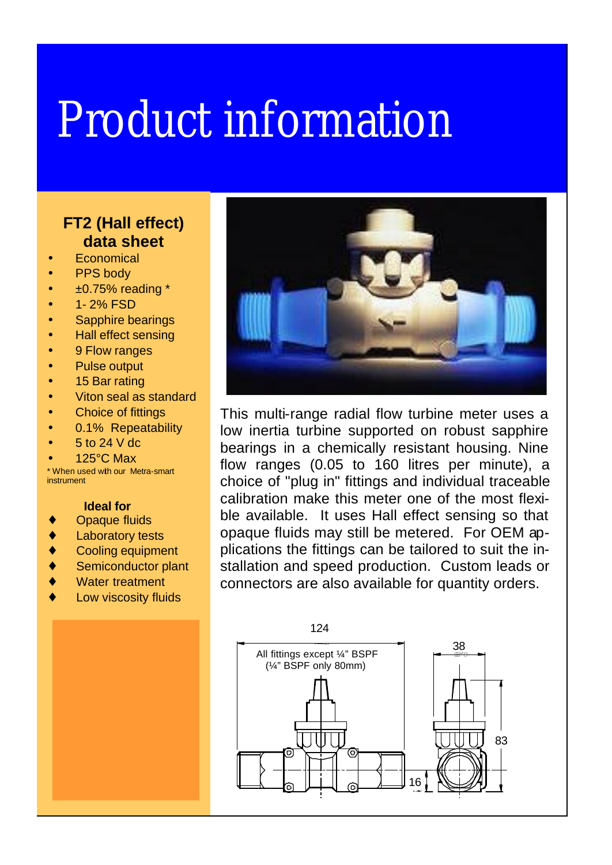## Product information

## **FT2 (Hall effect) data sheet**

- **Economical**
- PPS body
- $\bullet$   $\pm 0.75\%$  reading \*
- 1-2% FSD
- Sapphire bearings
- Hall effect sensing
- 9 Flow ranges
- Pulse output
- 15 Bar rating
- Viton seal as standard
- **Choice of fittings**
- 0.1% Repeatability
- 5 to 24 V dc
- 125°C Max

\* When used with our Metra-smart instrument

## **Ideal for**

- **Opaque fluids**
- ♦ Laboratory tests
- ♦ Cooling equipment
- Semiconductor plant
- Water treatment
- Low viscosity fluids



This multi-range radial flow turbine meter uses a low inertia turbine supported on robust sapphire bearings in a chemically resistant housing. Nine flow ranges (0.05 to 160 litres per minute), a choice of "plug in" fittings and individual traceable calibration make this meter one of the most flexible available. It uses Hall effect sensing so that opaque fluids may still be metered. For OEM applications the fittings can be tailored to suit the installation and speed production. Custom leads or connectors are also available for quantity orders.